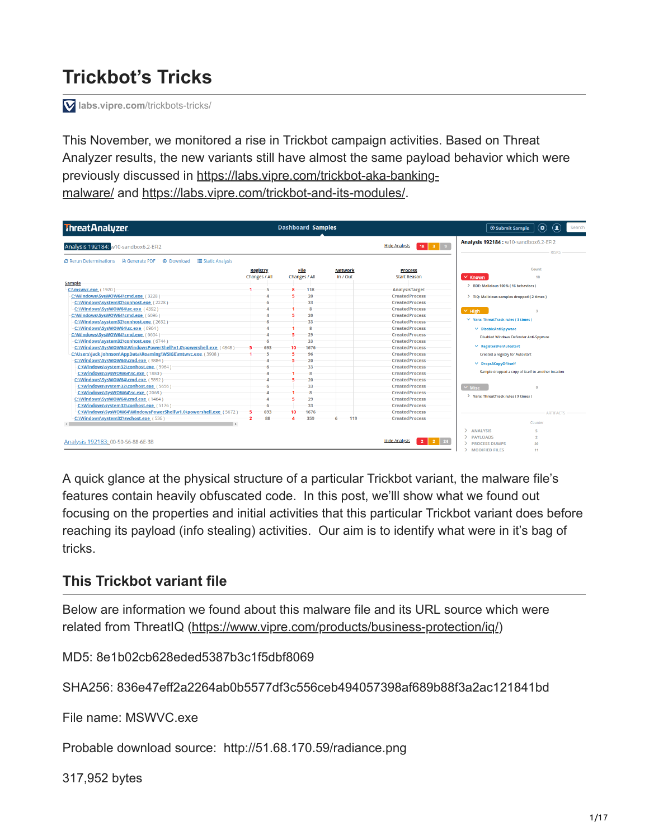# **Trickbot's Tricks**

**[labs.vipre.com](https://labs.vipre.com/trickbots-tricks/)**/trickbots-tricks/

This November, we monitored a rise in Trickbot campaign activities. Based on Threat Analyzer results, the new variants still have almost the same payload behavior which were [previously discussed in https://labs.vipre.com/trickbot-aka-banking](https://labs.vipre.com/trickbot-aka-banking-malware/)malware/ and<https://labs.vipre.com/trickbot-and-its-modules/>.

| <b>ThreatAnalyzer</b>                                                                         |                 | <b>Dashboard Samples</b> |                |                                                                | $\mathbf{C}$<br>$\left( \phi \right)$<br><b>O</b> Submit Sample<br>Search |
|-----------------------------------------------------------------------------------------------|-----------------|--------------------------|----------------|----------------------------------------------------------------|---------------------------------------------------------------------------|
| Analysis 192184: w10-sandbox6.2-EFI2                                                          |                 |                          |                | 3 <sup>3</sup><br><b>Hide Analysis</b><br>18                   | Analysis 192184 : w10-sandbox6.2-EFI2                                     |
| <b>C</b> Rerun Determinations A Generate PDF<br><b>4</b> Download<br><b>E</b> Static Analysis |                 |                          |                |                                                                |                                                                           |
|                                                                                               | <b>Registry</b> | File                     | <b>Network</b> | <b>Process</b>                                                 | Count                                                                     |
|                                                                                               | Changes / All   | Changes / All            | In / Out       | <b>Start Reason</b>                                            | $\times$ Known<br>18                                                      |
| Sample                                                                                        |                 |                          |                |                                                                | > BDE: Malicious 100% (16 behaviors)                                      |
| C:\mswvc.exe (1920)                                                                           |                 | 118                      |                | <b>AnalysisTarget</b>                                          |                                                                           |
| C:\Windows\SysWOW64\cmd.exe (3228)                                                            |                 | 20                       |                | <b>CreatedProcess</b>                                          | > TIQ: Malicious samples dropped (2 times)                                |
| C:\Windows\system32\conhost.exe (2228)                                                        |                 | 33                       |                | <b>CreatedProcess</b>                                          |                                                                           |
| C:\Windows\SysWOW64\sc.exe (4392)                                                             |                 |                          |                | <b>CreatedProcess</b>                                          | $\sim$ High                                                               |
| C:\Windows\SysWOW64\cmd.exe (6096)                                                            |                 | 20                       |                | <b>CreatedProcess</b>                                          |                                                                           |
| C:\Windows\system32\conhost.exe (2632)                                                        |                 | 33                       |                | <b>CreatedProcess</b>                                          | $\vee$ Yara: ThreatTrack rules (3 times)                                  |
| C:\Windows\SysWOW64\sc.exe (6964)                                                             |                 | R                        |                | <b>CreatedProcess</b>                                          | $\vee$ DisableAntiSpyware                                                 |
| C:\Windows\SysWOW64\cmd.exe (6604)                                                            |                 | 29                       |                | <b>CreatedProcess</b>                                          | <b>Disabled Windows Defender Anti-Spyware</b>                             |
| C:\Windows\system32\conhost.exe (6744)                                                        |                 | 33                       |                | <b>CreatedProcess</b>                                          |                                                                           |
| C:\Windows\SysWOW64\WindowsPowerShell\v1.0\powershell.exe (4848)                              | 693             | 1676<br>$10 -$           |                | <b>CreatedProcess</b>                                          | $\vee$ RegistersForAutostart                                              |
| C:\Users\Jack Johnson\AppData\Roaming\WSIGE\mtwvc.exe (3908)                                  |                 | 96                       |                | <b>CreatedProcess</b>                                          | Created a registry for AutoStart                                          |
| C:\Windows\SysWOW64\cmd.exe (3884)                                                            |                 | 20                       |                | <b>CreatedProcess</b>                                          |                                                                           |
| C:\Windows\system32\conhost.exe (5964)                                                        |                 | 33                       |                | <b>CreatedProcess</b>                                          | ∨ DropsACopyOfItself                                                      |
| C:\Windows\SysWOW64\sc.exe (1880)                                                             |                 |                          |                | <b>CreatedProcess</b>                                          | Sample dropped a copy of itself to another location                       |
| C:\Windows\SysWOW64\cmd.exe (5892)                                                            |                 | 20                       |                | <b>CreatedProcess</b>                                          |                                                                           |
| C:\Windows\system32\conhost.exe (5656)                                                        |                 | 33                       |                | <b>CreatedProcess</b>                                          | $\sim$ Misc                                                               |
| C:\Windows\SysWOW64\sc.exe (2068)                                                             |                 | $\mathbf{R}$             |                | <b>CreatedProcess</b>                                          |                                                                           |
| C:\Windows\SysWOW64\cmd.exe (1464)                                                            |                 | 29                       |                | <b>CreatedProcess</b>                                          | > Yara: ThreatTrack rules ( 9 times )                                     |
| C:\Windows\system32\conhost.exe_(5176)                                                        | 6               | 33                       |                | <b>CreatedProcess</b>                                          |                                                                           |
| C:\Windows\SysWOW64\WindowsPowerShell\v1.0\powershell.exe (5672)                              | 693             | 1676<br>10               |                | <b>CreatedProcess</b>                                          | <b>ARTIFACTS</b>                                                          |
| C:\Windows\system32\svchost.exe (536)                                                         | 88              | 359                      | 119            | <b>CreatedProcess</b>                                          |                                                                           |
|                                                                                               |                 |                          |                |                                                                | Counter                                                                   |
|                                                                                               |                 |                          |                |                                                                | <b>ANALYSIS</b><br>ĸ                                                      |
|                                                                                               |                 |                          |                |                                                                | <b>PAYLOADS</b><br>$\overline{ }$                                         |
| Analysis 192183: 00-50-56-88-6E-3B                                                            |                 |                          |                | <b>Hide Analysis</b><br>24<br>$\overline{2}$<br>$\overline{2}$ | <b>PROCESS DUMPS</b><br>20                                                |
|                                                                                               |                 |                          |                |                                                                | <b>MODIFIED FILES</b><br>11                                               |

A quick glance at the physical structure of a particular Trickbot variant, the malware file's features contain heavily obfuscated code. In this post, we'lll show what we found out focusing on the properties and initial activities that this particular Trickbot variant does before reaching its payload (info stealing) activities. Our aim is to identify what were in it's bag of tricks.

# **This Trickbot variant file**

Below are information we found about this malware file and its URL source which were related from ThreatIQ (<https://www.vipre.com/products/business-protection/iq/>)

MD5: 8e1b02cb628eded5387b3c1f5dbf8069

SHA256: 836e47eff2a2264ab0b5577df3c556ceb494057398af689b88f3a2ac121841bd

File name: MSWVC.exe

Probable download source: http://51.68.170.59/radiance.png

317,952 bytes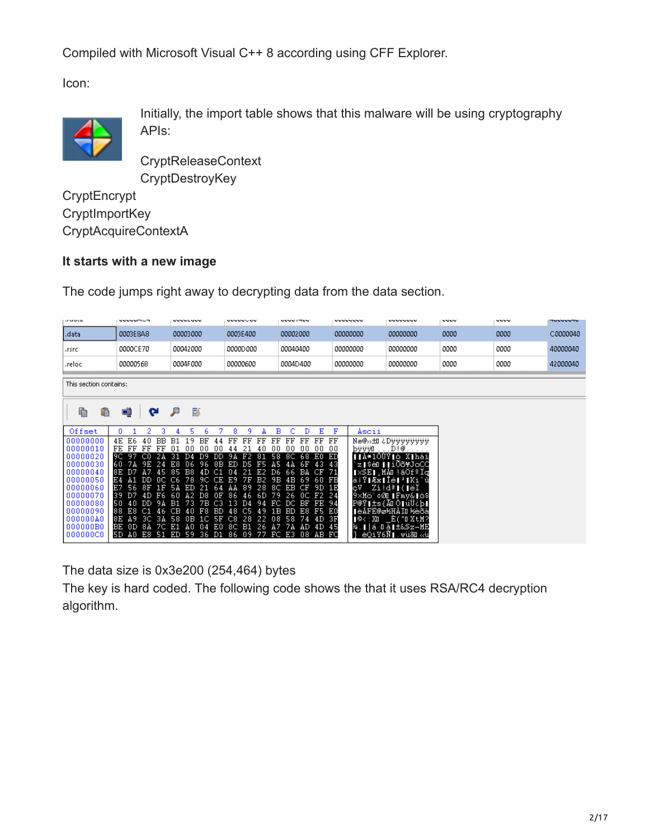Compiled with Microsoft Visual C++ 8 according using CFF Explorer.

Icon:



Initially, the import table shows that this malware will be using cryptography APIs:

**CryptReleaseContext CryptDestroyKey** 

**CryptEncrypt CryptImportKey** CryptAcquireContextA

## **It starts with a new image**

The code jumps right away to decrypting data from the data section.

| <b>HUGUL</b>           | <b>VYVVWTVT</b>                                            | <b>uuuucuuu</b>                                            | <b>WWWWU WW</b>                                             | <b>VVVVITVV</b>                                | <b>WWWWWW</b> | <b>UUUUUUU</b>                                                                                                                                                   | www  | <b>VVVV</b> | <b>TUUUUTU</b> |
|------------------------|------------------------------------------------------------|------------------------------------------------------------|-------------------------------------------------------------|------------------------------------------------|---------------|------------------------------------------------------------------------------------------------------------------------------------------------------------------|------|-------------|----------------|
| .data                  | 0003E8A8                                                   | 00003000                                                   | 0003E400                                                    | 00002000                                       | 00000000      | 00000000                                                                                                                                                         | 0000 | 0000        | C0000040       |
| .rsrc                  | 0000CE70                                                   | 00042000                                                   | 0000D000                                                    | 00040400                                       | 00000000      | 00000000                                                                                                                                                         | 0000 | 0000        | 40000040       |
| .reloc                 | 00000568                                                   | 0004F000                                                   | 00000600                                                    | 0004D400                                       | 00000000      | 00000000                                                                                                                                                         | 0000 | 0000        | 42000040       |
| This section contains: |                                                            |                                                            |                                                             |                                                |               |                                                                                                                                                                  |      |             |                |
| 呛<br>C                 | q<br>∾                                                     | ø<br>₽                                                     |                                                             |                                                |               |                                                                                                                                                                  |      |             |                |
| Offset                 | n<br>2<br>3                                                | 5<br>Б                                                     | 8<br>9<br>A                                                 | в<br>Ε<br>с<br>D                               | F<br>Ascii    |                                                                                                                                                                  |      |             |                |
| 00000000<br>00000010   | 4E<br>40<br><b>BB</b><br>E6.<br>FE<br>FF<br>FF<br>모르       | B1<br>19<br>BF<br>44<br>.nn<br>00<br>-01<br>.nn            | FF<br>FF<br>모트<br>FF<br>nn.<br>-4 N<br>44                   | FF<br>FF<br>FF<br>00 00<br>.nn<br>00           | FF<br>bÿÿÿū   | Næ@»±i ¿Dÿÿÿÿÿÿÿÿ<br>. D ! @                                                                                                                                     |      |             |                |
| 00000020<br>00000030   | 9C 97<br>-CO<br>电位<br>60<br>-7 A<br>9 F<br>-24             | -31<br>D9<br>DD<br>4mer<br>-96<br>8B<br>E8.<br>06.         | 58<br>9A<br>F2<br>81<br>ED<br>F5<br>D5.<br>A5.              | 8C<br>68<br>ЕO<br>ĥЕ<br>-43                    | ЕD<br>-43     | ∥∥À*1ÔÙÝ∥ò X∥hàí<br>z∣\$èO∥∣íÕõ¥JoCC                                                                                                                             |      |             |                |
| 00000040               | 83<br>D <sub>7</sub><br>Α7<br>-45                          | 85<br>B8<br>4D<br>C1                                       | 21<br>E2<br>D6<br>04                                        | CF<br>66<br>BA                                 | -71           | ∥×SE∥,MÁ∐!âÖfºÏq                                                                                                                                                 |      |             |                |
| 00000050<br>00000060   | DD.<br>-no<br>ЕĿ<br>F7<br>56.<br>8F<br>1 F                 | 78<br>C6<br>9C CE<br>5 A<br>ED<br>21<br>-64                | B <sub>2</sub><br>E9<br>75<br>9B<br>28<br>-8C.<br>-89<br>ΑÅ | 4 B<br>69<br>-60<br>83 S<br>CF<br>EB<br>9D 1E  | c۷            | äiÝ∥Æx∥Îé∥≟∥Ki`û<br>$Zi!d^a$ $\overline{\phantom{a} }$ ( $\overline{\phantom{a} }$ $\overline{\phantom{a} }$ $\overline{\phantom{a} }$ $\overline{\phantom{a} }$ |      |             |                |
| 00000070               | D <sub>7</sub><br>4 D<br>F6<br>139                         | A2<br>D8.<br>nв<br>-60                                     | 79<br>6D.<br>86.<br>46                                      | 26<br>OC F2 24                                 |               | 9×Mö`¢ØO∥Fmy&∥ò\$                                                                                                                                                |      |             |                |
| 00000080<br>00000090   | 50<br>חת<br>9 A<br>-4 O<br>E8<br>88<br>-C1<br>-46          | B1<br>-73<br>7B C3<br>CB<br>40<br>$_{\rm F8}$<br><b>BD</b> | 13.<br>94<br>FC<br>ĐА<br>48<br>1 B<br>45<br>49              | DC.<br>BF<br>FE 94<br>E8<br>F5 E0<br><b>BD</b> |               | P@Y∥±s{ÃO Ô∥üÜ¿b∣<br>∎èÁFÉ@ø½HÅIO ½èõà                                                                                                                           |      |             |                |
| 000000A0               | 85<br>A9.<br>-3C<br>3A                                     | 58<br>0B<br>1C 5F                                          | C8<br>28<br>22<br>ns.                                       | 58<br>4 D                                      | - 3F          | ∥©<:X0 E("0XtM?                                                                                                                                                  |      |             |                |
| 000000B0<br>000000C0   | BE<br>OD <sub>8A</sub><br>7C E1<br>E8<br>-51<br>I5D<br>A0. | A0<br>E0<br>-04<br>-36<br>ED<br>-59<br>D1                  | <b>B1</b><br>8C.<br>-26<br>A7<br>77<br>09<br>86             | 7 A<br>AD 4D 45<br>FC E3<br>08<br>AB FO        |               | ¾.∥∣á Dà∥±&Sz−ME<br>1 è0.íY6Ñ∎.wüãn.∝ü                                                                                                                           |      |             |                |
|                        |                                                            |                                                            |                                                             |                                                |               |                                                                                                                                                                  |      |             |                |

The data size is 0x3e200 (254,464) bytes

The key is hard coded. The following code shows the that it uses RSA/RC4 decryption algorithm.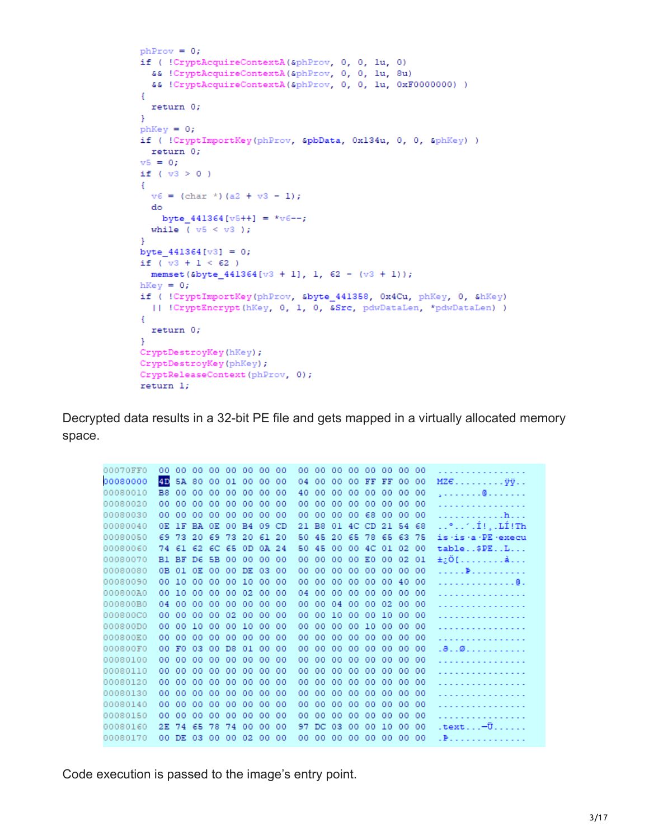```
phProv = 0;
if ( !CryptAcquireContextA(&phProv, 0, 0, 1u, 0)
 && !CryptAcquireContextA(&phProv, 0, 0, 1u, 8u)
  && !CryptAcquireContextA(&phProv, 0, 0, 1u, 0xF0000000) )
\mathcal{L}return 0;
\mathbf{r}phKey = 0;if ( !CryptImportKey(phProv, &pbData, 0x134u, 0, 0, &phKey) )
 return 0;
v5 = 0;if (v3 > 0)
\left\{ \right.v6 = (char *)(a2 + v3 - 1);do
   byte 441364[v5++] = *v6--;while (v5 < v3);
\mathbf{F}byte 441364[v3] = 0;if (v3 + 1 < 62)
 memset (&byte_441364[v3 + 1], 1, 62 - (v3 + 1));
hKey = 0;if ( !CryptImportKey(phProv, &byte 441358, 0x4Cu, phKey, 0, &hKey)
  [ | CryptEncrypt(hKey, 0, 1, 0, &Src, pdwDataLen, *pdwDataLen) )
\left\{ \right.return 0;
\mathcal{F}CryptDestroyKey(hKey);
CryptDestroyKey(phKey);
CryptReleaseContext(phProv, 0);
return 1;
```
Decrypted data results in a 32-bit PE file and gets mapped in a virtually allocated memory space.

| 00070FF0 | 00             | 00       | -00         | 00 <sub>1</sub> | $00-$ | 0000      |       | 00        | oo. | 00             | 00  | 00. | -00            |     | 00 00 00 |      | .                                    |
|----------|----------------|----------|-------------|-----------------|-------|-----------|-------|-----------|-----|----------------|-----|-----|----------------|-----|----------|------|--------------------------------------|
| 00080000 | 4D             | 5A       | -80         | 00              | 01    | 00        | 00    | 00        | 04  | 00             | 00  | 00  | FF             | FF  | 00       | 00   | $MZE$ $\ddot{y}\ddot{y}$             |
| 00080010 | B <sub>8</sub> | 00       | 00          | 00              | 00    | 00        | 00    | 00        | 40  | 00             | 00  | 00  | 00             | 00  | 00       | -00  | . @                                  |
| 00080020 | 00             | 00       | 00          | 00              | 00    | 00        | 00    | 00        | 00  | 00             | 00  | 00  | 00             | 00  | 00       | - 00 | .                                    |
| 00080030 | 00             | 00       | 00          | 00              | 00    | 00        | 00    | 00        | 00  | 00             | 00  | 00  | 68             | 00  | 00       | - 00 | . h.                                 |
| 00080040 | OE.            | 1F       | BA OE       |                 | -00   | <b>B4</b> | 09    | <b>CD</b> | 21  | B <sub>8</sub> | 01  | 4C  | CD.            | 21  | 54 68    |      | $\ldots$ ° $\ldots$ ri $\ldots$ iinh |
| 00080050 |                | 69 73    |             | 20 69 73        |       | 20        | 61 20 |           | 50  | 45             | 20  |     | 65 78 65 63 75 |     |          |      | is is a PE execu                     |
| 00080060 |                | 74 61 62 |             | 6C 65           |       | 0D.       | 0A 24 |           | 50. | 45             | 00  | 00  | 4 <sup>C</sup> | 01  | 02       | -00  | table\$PEL                           |
| 00080070 | B1 BF          |          | D6.         | 5B 00           |       | 00        | 00    | -00       | 00  | 00             | 00  | 00  | ЕO             | 00  | 02       | -01  | ±¿Ö[å                                |
| 00080080 |                | 0B 01    | 0E          | -00             | 00    | DE        | 03    | 00        | 00  | 00             | 00  | 00  | 00             | 00  | 00       | - 00 | . B                                  |
| 00080090 |                | 00 10    | 00          | 00              | 00    | 10        | 00    | -00       | 00  | 00             | 00  | 00  | 00             | 00  | 40 00    |      | . 0 .                                |
| 000800A0 | 00.            | 10       | 00          | 00              | 00    | 02        | 00    | 00        | 04  | 00             | 00  | 00  | 00             | 00  | 00       | - 00 | .                                    |
| 000800B0 | 04.            | 00       | 00          | 00              | 00    | 00        | 00    | -00       | 00  | 00             | 04  | 00  | 00             | 02  | 0000     |      |                                      |
| 000800C0 | oo.            | 00       | 00          | 00              | 02    | 00        | 00    | 00        | 00  | 00             | 10  | 00  | 00             | 10  | 00       | -00  | .                                    |
| 000800D0 | $00-$          | 00       | 10          | 00              | 00    | 10        | 00    | -00       | 00  | 00             | 00  | 00  | 10             | 00  | 0000     |      |                                      |
| 000800E0 | oo.            | 00       | 00          | 00              | 00    | 00        | 00    | 00        | 00  | 00             | 00  | 00  | 00             | 00  | 00       | -00  | .                                    |
| 000800F0 | 00             | F0       | 03          | 00              | D8    | 01        | 00    | -00       | 00  | 00             | 00  | -00 | 00             | 00  | 00       | - 00 |                                      |
| 00080100 | oo.            | 00       | 00          | 00              | 00    | 00        | 00    | 00        | oo. | 00             | 00  | 00  | 00             | 00  | 00       | -00  | .                                    |
| 00080110 | 00.            | 00       | 00          | 00              | 00    | 00        | 00    | -00       | 00  | 00             | 00  | 00  | 00             | 00  | 00       | - 00 |                                      |
| 00080120 | oo.            | 00       | 00          | 00              | 00    | 00        | 00.   | 00        | oo. | 00             | 00  | 00  | 00             | 00  | 00       | -00  |                                      |
| 00080130 | 00.            | 00       | 00          | 00              | 00    | 00        | 00    | -00       | oo. | 00             | 00  | -00 | 00             | 00  | 00       | - 00 |                                      |
| 00080140 | oo.            | 00       | 00          | 00              | 00    | 00        | 00.   | 00        | oo. | 00             | 00  | 00  | 00             | 00  | 00       | -00  |                                      |
| 00080150 | 00.            | 00       | 00          | 00              | 00    | 00        | 00.   | -00       | oo. | 00             | 00  | -00 | 00             | 00  | 00       | -00  |                                      |
| 00080160 | 2E.            | 74       | 65          | 78              | 74    | 00        | 00    | 00        | 97  | DC.            | 03  | 00  | 00             | 10  | -00      | 00   | $textldots$ - $\ddot{\textbf{U}}$    |
| 00080170 |                |          | 00 DE 03 00 |                 | $00-$ | 02        | 00    | 00        | oo. | 00             | -00 | 00  | -00-           | -00 | 00       | -00  |                                      |

Code execution is passed to the image's entry point.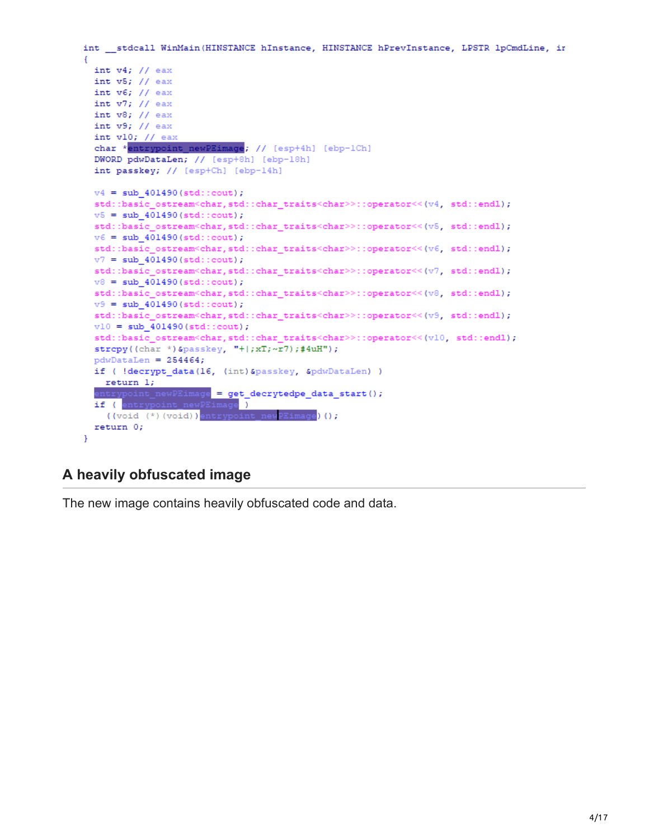```
int __ stdcall WinMain(HINSTANCE hInstance, HINSTANCE hPrevInstance, LPSTR lpCmdLine, in
Ŧ
 int v4; // eax
 int v5; // eax
 int v6; // eax
 int v7; // eax
 int v8; // eax
 int v9; // eax
 int v10; // eax
 char *entrypoint newPEimage; // [esp+4h] [ebp-1Ch]
 DWORD pdwDataLen; // [esp+8h] [ebp-18h]
 int passkey; // [esp+Ch] [ebp-14h]
 v4 = sub_401490(stat:cont);std::basic_ostream<char,std::char_traits<char>>::operator<<(v4, std::endl);
 v5 = sub 401490(stat:count);std::basic_ostream<char,std::char_traits<char>>::operator<<(v5, std::endl);
 v6 = sub 401490(stat:count);std::basic_ostream<char,std::char_traits<char>>::operator<<(v6, std::endl);
 v7 = sub 401490(stat:count);std::basic_ostream<char,std::char_traits<char>>::operator<<(v7, std::endl);
 v8 = sub 401490(stat:count);std::basic_ostream<char,std::char_traits<char>>::operator<<(v8, std::endl);
 v9 = sub 401490(stat:count);std::basic_ostream<char,std::char_traits<char>>::operator<<(v9, std::endl);
 v10 = sub_401490(stat:count);std::basic_ostream<char,std::char_traits<char>>::operator<<(v10,std::endl);
 strcpy((char *)&passkey, "+|;xT;~xT; +1;#4uH");
 pdwDataLen = 254464;if ( !decrypt data(16, (int)&passkey, &pdwDataLen) )
   return 1;
  entrypoint_newPEimage = get_decrytedpe_data_start();
  if (entrypoint_newPEimage)
   ((void (*)(void))entrypoint new PEimage)();
 return 0;
<sup>1</sup>
```
# **A heavily obfuscated image**

The new image contains heavily obfuscated code and data.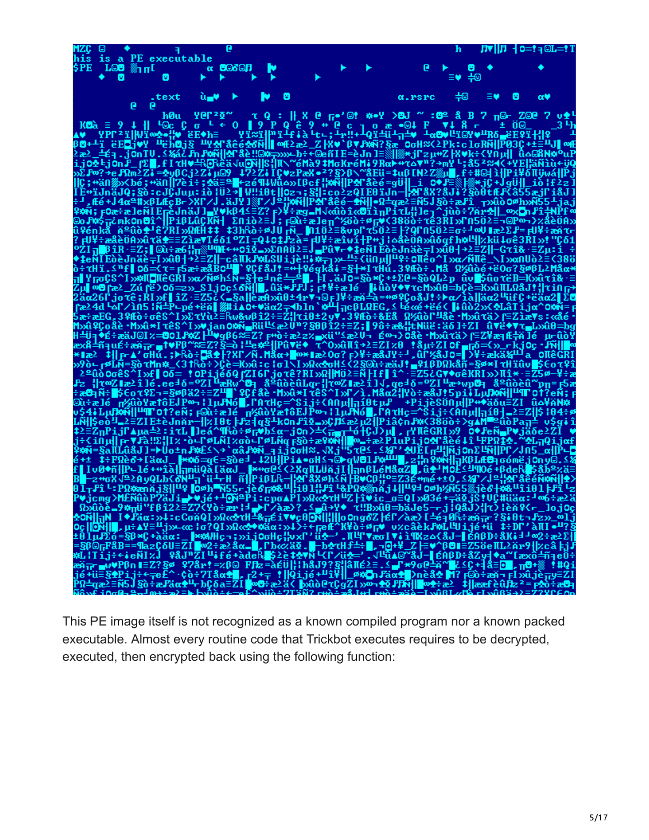

This PE image itself is not recognized as a known compiled program nor a known packed executable. Almost every routine code that Trickbot executes requires to be decrypted, executed, then encrypted back using the following function: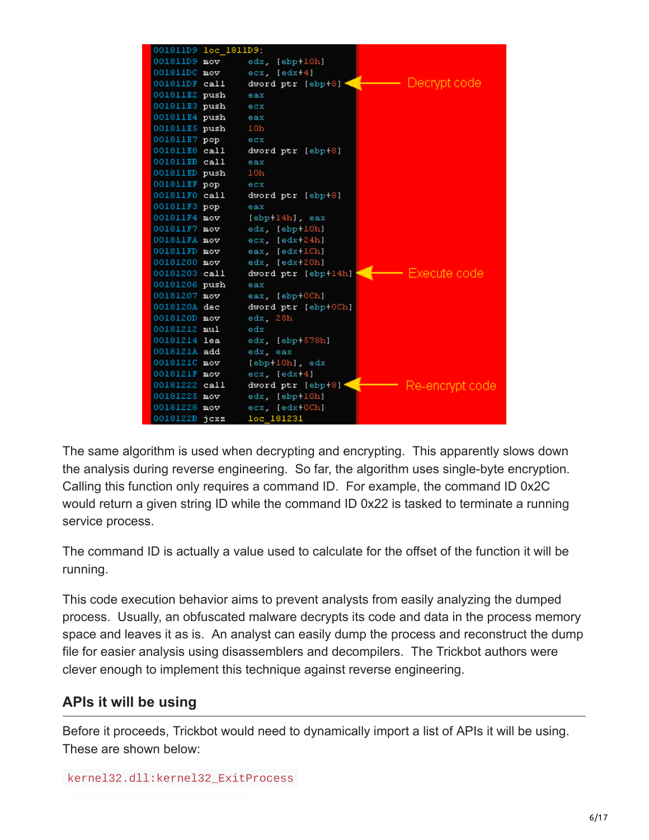| 001811D9 loc 1811D9 |                                    |                 |
|---------------------|------------------------------------|-----------------|
| $001811D9$ mov      | edx. [ebp+10h]                     |                 |
| $001811DC$ mov      | $ex$ [edx+4]                       |                 |
| $001811DF$ call     | dword ptr $[ebp+8]$                | — Decrypt code  |
| 001811E2 push       | eax                                |                 |
| 001811E3 push       | ecx                                |                 |
| 001811E4 push       | eax                                |                 |
| 001811E5 push       | 10 <sub>h</sub>                    |                 |
| 001811E7 pop        | ecx                                |                 |
| 001811E8 call       | dword ptr [ebp+8]                  |                 |
| $001811EB$ call     | eax                                |                 |
| 001811ED push       | 10 <sub>h</sub>                    |                 |
| 001811EF pop        | ecx                                |                 |
| $001811F0$ call     | dword ptr [ebp+8]                  |                 |
| 001811F3 pop        | eax                                |                 |
| 001811F4 mov        | [ebp+14h], eax                     |                 |
| 001811F7 mov        | edx. [ebp+10h]                     |                 |
| 001811FA mov        | ecx. [edx+24h]                     |                 |
| $001811F$ D mov     | eax. [edx+1Ch]                     |                 |
| 00181200 mov        | edx. [edx+20h]                     |                 |
| 00181203 call       | dword ptr [ebp+14h] $\blacksquare$ | —— Execute code |
| 00181206 push       | eax                                |                 |
| 00181207 mov        | eax. [ebp+0Ch]                     |                 |
| 0018120A dec        | dword ptr [ebp+0Ch]                |                 |
| 0018120D mov        | edx, 28h                           |                 |
| 00181212 mul        | edx                                |                 |
| 00181214 lea        | edx, [ebp+578h]                    |                 |
| 0018121A add        | edx, eax                           |                 |
| 0018121C mov        | [ebp+10h], edx                     |                 |
| 0018121F mov        | ecx, [edx+4]                       |                 |
| 00181222 call       | dword ptr [ebp+8]                  | Re-encrypt code |
| 00181225 mov        | edx. [ebp+10h]                     |                 |
| 00181228 mov        | ecx, [edx+0Ch]                     |                 |
| 0018122B jcxz       | loc 181231                         |                 |

The same algorithm is used when decrypting and encrypting. This apparently slows down the analysis during reverse engineering. So far, the algorithm uses single-byte encryption. Calling this function only requires a command ID. For example, the command ID 0x2C would return a given string ID while the command ID 0x22 is tasked to terminate a running service process.

The command ID is actually a value used to calculate for the offset of the function it will be running.

This code execution behavior aims to prevent analysts from easily analyzing the dumped process. Usually, an obfuscated malware decrypts its code and data in the process memory space and leaves it as is. An analyst can easily dump the process and reconstruct the dump file for easier analysis using disassemblers and decompilers. The Trickbot authors were clever enough to implement this technique against reverse engineering.

# **APIs it will be using**

Before it proceeds, Trickbot would need to dynamically import a list of APIs it will be using. These are shown below:

```
kernel32.dll:kernel32_ExitProcess
```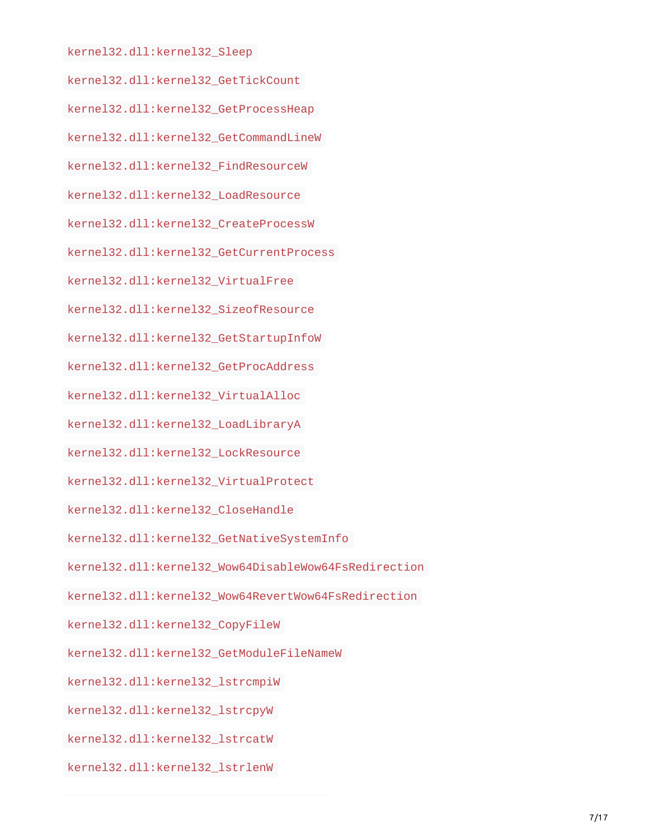kernel32.dll:kernel32\_Sleep

kernel32.dll:kernel32\_GetTickCount

kernel32.dll:kernel32\_GetProcessHeap

kernel32.dll:kernel32\_GetCommandLineW

kernel32.dll:kernel32\_FindResourceW

kernel32.dll:kernel32\_LoadResource

kernel32.dll:kernel32\_CreateProcessW

kernel32.dll:kernel32\_GetCurrentProcess

kernel32.dll:kernel32\_VirtualFree

kernel32.dll:kernel32\_SizeofResource

kernel32.dll:kernel32\_GetStartupInfoW

kernel32.dll:kernel32\_GetProcAddress

kernel32.dll:kernel32\_VirtualAlloc

kernel32.dll:kernel32\_LoadLibraryA

kernel32.dll:kernel32\_LockResource

kernel32.dll:kernel32\_VirtualProtect

kernel32.dll:kernel32\_CloseHandle

kernel32.dll:kernel32\_GetNativeSystemInfo

kernel32.dll:kernel32\_Wow64DisableWow64FsRedirection

kernel32.dll:kernel32\_Wow64RevertWow64FsRedirection

kernel32.dll:kernel32\_CopyFileW

kernel32.dll:kernel32\_GetModuleFileNameW

kernel32.dll:kernel32\_lstrcmpiW

kernel32.dll:kernel32\_lstrcpyW

kernel32.dll:kernel32\_lstrcatW

kernel32.dll:kernel32\_lstrlenW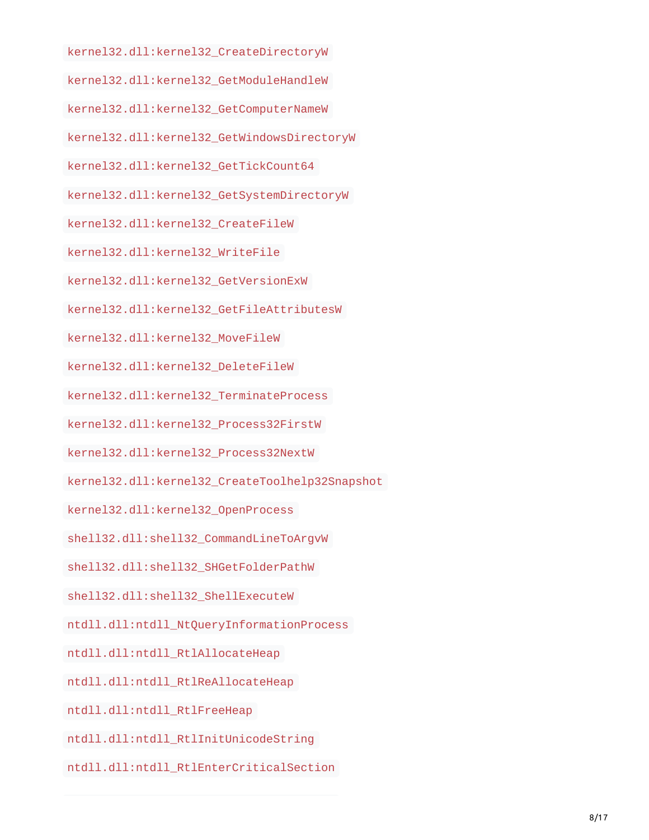kernel32.dll:kernel32\_CreateDirectoryW

kernel32.dll:kernel32\_GetModuleHandleW

kernel32.dll:kernel32\_GetComputerNameW

kernel32.dll:kernel32\_GetWindowsDirectoryW

kernel32.dll:kernel32\_GetTickCount64

kernel32.dll:kernel32\_GetSystemDirectoryW

kernel32.dll:kernel32\_CreateFileW

kernel32.dll:kernel32\_WriteFile

kernel32.dll:kernel32\_GetVersionExW

kernel32.dll:kernel32\_GetFileAttributesW

kernel32.dll:kernel32\_MoveFileW

kernel32.dll:kernel32\_DeleteFileW

kernel32.dll:kernel32\_TerminateProcess

kernel32.dll:kernel32\_Process32FirstW

kernel32.dll:kernel32\_Process32NextW

kernel32.dll:kernel32\_CreateToolhelp32Snapshot

kernel32.dll:kernel32\_OpenProcess

shell32.dll:shell32\_CommandLineToArgvW

shell32.dll:shell32\_SHGetFolderPathW

shell32.dll:shell32\_ShellExecuteW

ntdll.dll:ntdll\_NtQueryInformationProcess

ntdll.dll:ntdll\_RtlAllocateHeap

ntdll.dll:ntdll\_RtlReAllocateHeap

ntdll.dll:ntdll\_RtlFreeHeap

ntdll.dll:ntdll\_RtlInitUnicodeString

ntdll.dll:ntdll\_RtlEnterCriticalSection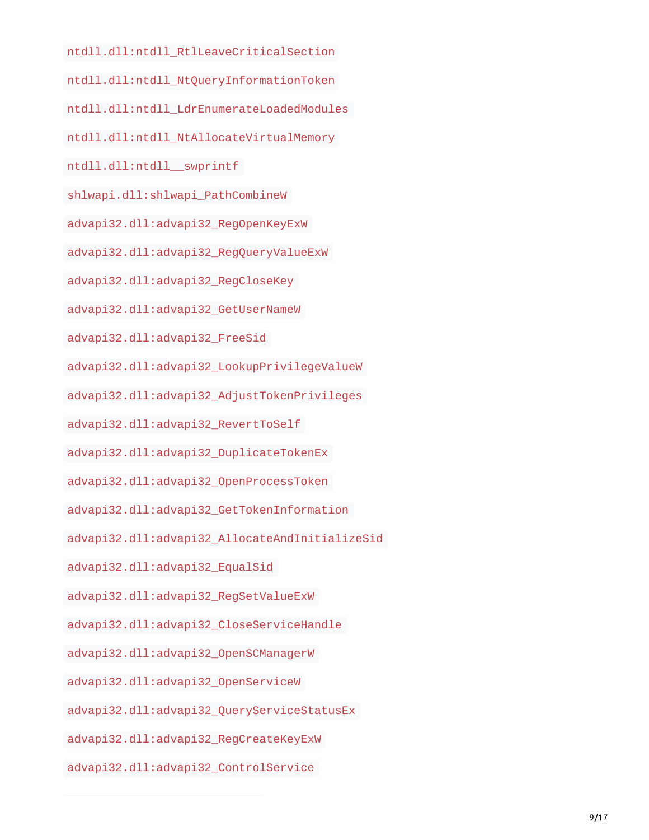ntdll.dll:ntdll\_RtlLeaveCriticalSection

- ntdll.dll:ntdll\_NtQueryInformationToken
- ntdll.dll:ntdll\_LdrEnumerateLoadedModules
- ntdll.dll:ntdll\_NtAllocateVirtualMemory
- ntdll.dll:ntdll\_\_swprintf
- shlwapi.dll:shlwapi\_PathCombineW
- advapi32.dll:advapi32\_RegOpenKeyExW
- advapi32.dll:advapi32\_RegQueryValueExW
- advapi32.dll:advapi32\_RegCloseKey
- advapi32.dll:advapi32\_GetUserNameW
- advapi32.dll:advapi32\_FreeSid
- advapi32.dll:advapi32\_LookupPrivilegeValueW
- advapi32.dll:advapi32\_AdjustTokenPrivileges
- advapi32.dll:advapi32\_RevertToSelf
- advapi32.dll:advapi32\_DuplicateTokenEx
- advapi32.dll:advapi32\_OpenProcessToken
- advapi32.dll:advapi32\_GetTokenInformation
- advapi32.dll:advapi32\_AllocateAndInitializeSid
- advapi32.dll:advapi32\_EqualSid
- advapi32.dll:advapi32\_RegSetValueExW
- advapi32.dll:advapi32\_CloseServiceHandle
- advapi32.dll:advapi32\_OpenSCManagerW
- advapi32.dll:advapi32\_OpenServiceW
- advapi32.dll:advapi32\_QueryServiceStatusEx
- advapi32.dll:advapi32\_RegCreateKeyExW
- advapi32.dll:advapi32\_ControlService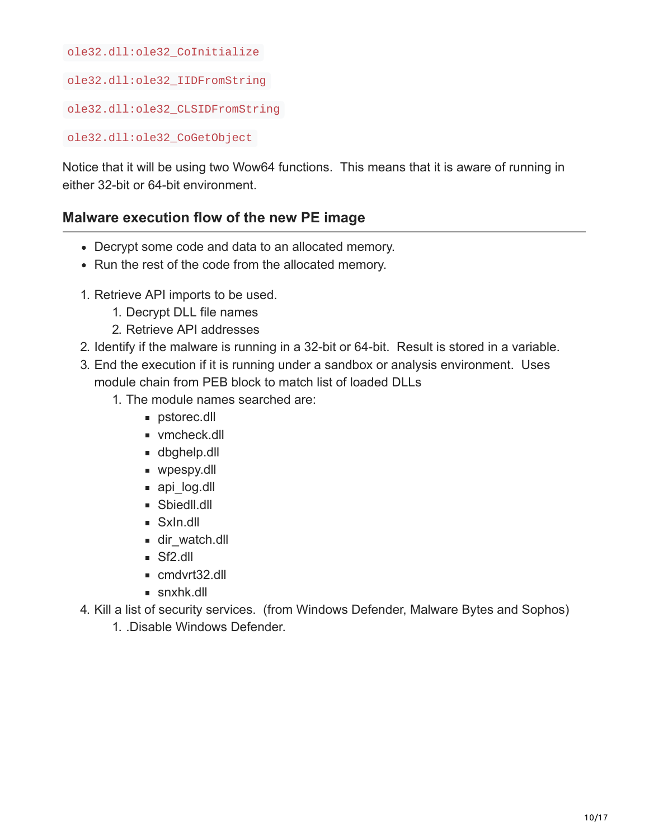ole32.dll:ole32\_CoInitialize

ole32.dll:ole32\_IIDFromString

ole32.dll:ole32\_CLSIDFromString

ole32.dll:ole32\_CoGetObject

Notice that it will be using two Wow64 functions. This means that it is aware of running in either 32-bit or 64-bit environment.

## **Malware execution flow of the new PE image**

- Decrypt some code and data to an allocated memory.
- Run the rest of the code from the allocated memory.
- 1. Retrieve API imports to be used.
	- 1. Decrypt DLL file names
	- 2. Retrieve API addresses
- 2. Identify if the malware is running in a 32-bit or 64-bit. Result is stored in a variable.
- 3. End the execution if it is running under a sandbox or analysis environment. Uses module chain from PEB block to match list of loaded DLLs
	- 1. The module names searched are:
		- **pstorec.dll**
		- vmcheck.dll
		- dbghelp.dll
		- wpespy.dll
		- api log.dll
		- **Sbiedll.dll**
		- SxIn.dll
		- dir\_watch.dll
		- Sf<sub>2</sub>.dll
		- cmdvrt32.dll
		- snxhk.dll
- 4. Kill a list of security services. (from Windows Defender, Malware Bytes and Sophos)
	- 1. .Disable Windows Defender.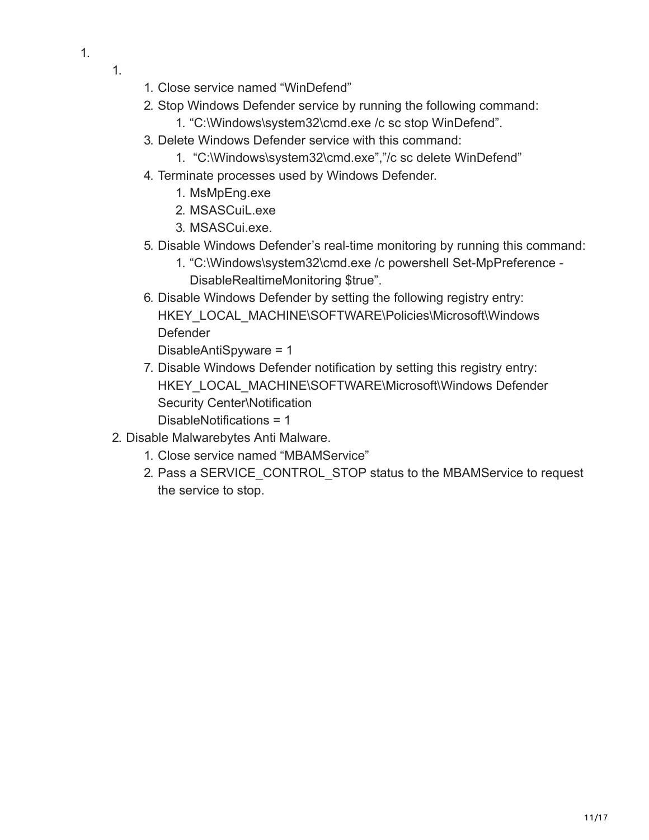- 1.
- 1. Close service named "WinDefend"
- 2. Stop Windows Defender service by running the following command:
	- 1. "C:\Windows\system32\cmd.exe /c sc stop WinDefend".
- 3. Delete Windows Defender service with this command:
	- 1. "C:\Windows\system32\cmd.exe","/c sc delete WinDefend"
- 4. Terminate processes used by Windows Defender.
	- 1. MsMpEng.exe
	- 2. MSASCuiL.exe
	- 3. MSASCui.exe.
- 5. Disable Windows Defender's real-time monitoring by running this command:
	- 1. "C:\Windows\system32\cmd.exe /c powershell Set-MpPreference DisableRealtimeMonitoring \$true".
- 6. Disable Windows Defender by setting the following registry entry: HKEY\_LOCAL\_MACHINE\SOFTWARE\Policies\Microsoft\Windows Defender

DisableAntiSpyware = 1

- 7. Disable Windows Defender notification by setting this registry entry: HKEY\_LOCAL\_MACHINE\SOFTWARE\Microsoft\Windows Defender Security Center\Notification DisableNotifications = 1
- 2. Disable Malwarebytes Anti Malware.
	- 1. Close service named "MBAMService"
	- 2. Pass a SERVICE CONTROL STOP status to the MBAMService to request the service to stop.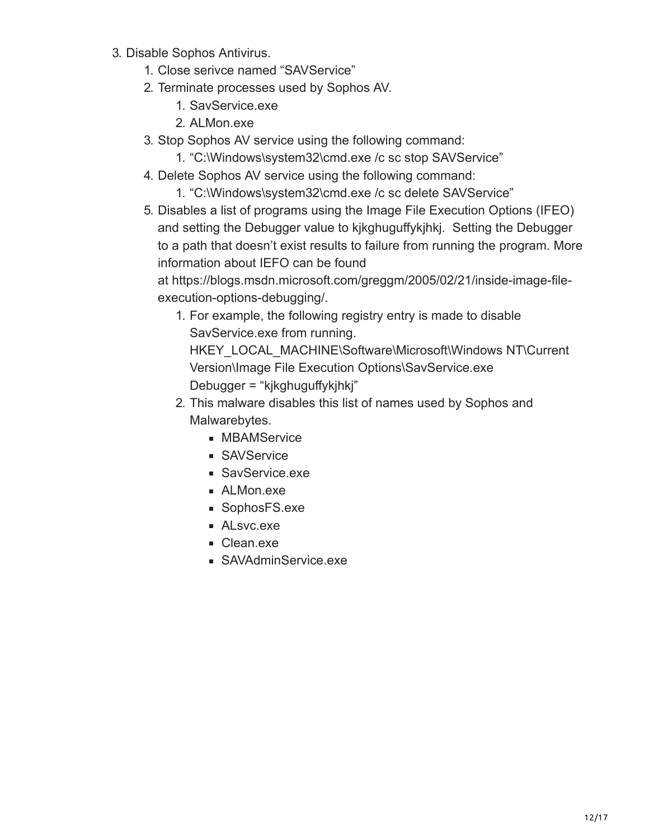- 3. Disable Sophos Antivirus.
	- 1. Close serivce named "SAVService"
	- 2. Terminate processes used by Sophos AV.
		- 1. SavService.exe
		- 2. ALMon.exe
	- 3. Stop Sophos AV service using the following command:
		- 1. "C:\Windows\system32\cmd.exe /c sc stop SAVService"
	- 4. Delete Sophos AV service using the following command:
		- 1. "C:\Windows\system32\cmd.exe /c sc delete SAVService"
	- 5. Disables a list of programs using the Image File Execution Options (IFEO) and setting the Debugger value to kjkghuguffykjhkj. Setting the Debugger to a path that doesn't exist results to failure from running the program. More information about IEFO can be found

at https://blogs.msdn.microsoft.com/greggm/2005/02/21/inside-image-fileexecution-options-debugging/.

1. For example, the following registry entry is made to disable SavService.exe from running.

HKEY\_LOCAL\_MACHINE\Software\Microsoft\Windows NT\Current Version\Image File Execution Options\SavService.exe Debugger = "kjkghuguffykjhkj"

- 2. This malware disables this list of names used by Sophos and Malwarebytes.
	- **MBAMService**
	- **SAVService**
	- SavService.exe
	- ALMon.exe
	- SophosFS.exe
	- ALsvc.exe
	- Clean.exe
	- SAVAdminService.exe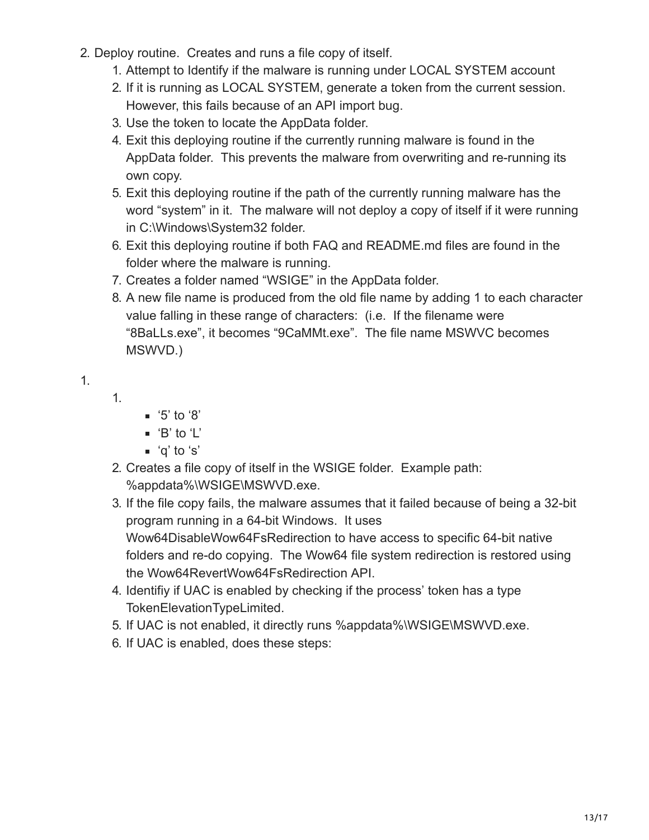- 2. Deploy routine. Creates and runs a file copy of itself.
	- 1. Attempt to Identify if the malware is running under LOCAL SYSTEM account
	- 2. If it is running as LOCAL SYSTEM, generate a token from the current session. However, this fails because of an API import bug.
	- 3. Use the token to locate the AppData folder.
	- 4. Exit this deploying routine if the currently running malware is found in the AppData folder. This prevents the malware from overwriting and re-running its own copy.
	- 5. Exit this deploying routine if the path of the currently running malware has the word "system" in it. The malware will not deploy a copy of itself if it were running in C:\Windows\System32 folder.
	- 6. Exit this deploying routine if both FAQ and README.md files are found in the folder where the malware is running.
	- 7. Creates a folder named "WSIGE" in the AppData folder.
	- 8. A new file name is produced from the old file name by adding 1 to each character value falling in these range of characters: (i.e. If the filename were "8BaLLs.exe", it becomes "9CaMMt.exe". The file name MSWVC becomes MSWVD.)

1.

1.

- $\blacksquare$  '5' to '8'
	- 'B' to 'L'
- 'q' to 's'
- 2. Creates a file copy of itself in the WSIGE folder. Example path: %appdata%\WSIGE\MSWVD.exe.
- 3. If the file copy fails, the malware assumes that it failed because of being a 32-bit program running in a 64-bit Windows. It uses Wow64DisableWow64FsRedirection to have access to specific 64-bit native folders and re-do copying. The Wow64 file system redirection is restored using the Wow64RevertWow64FsRedirection API.
- 4. Identifiy if UAC is enabled by checking if the process' token has a type TokenElevationTypeLimited.
- 5. If UAC is not enabled, it directly runs %appdata%\WSIGE\MSWVD.exe.
- 6. If UAC is enabled, does these steps: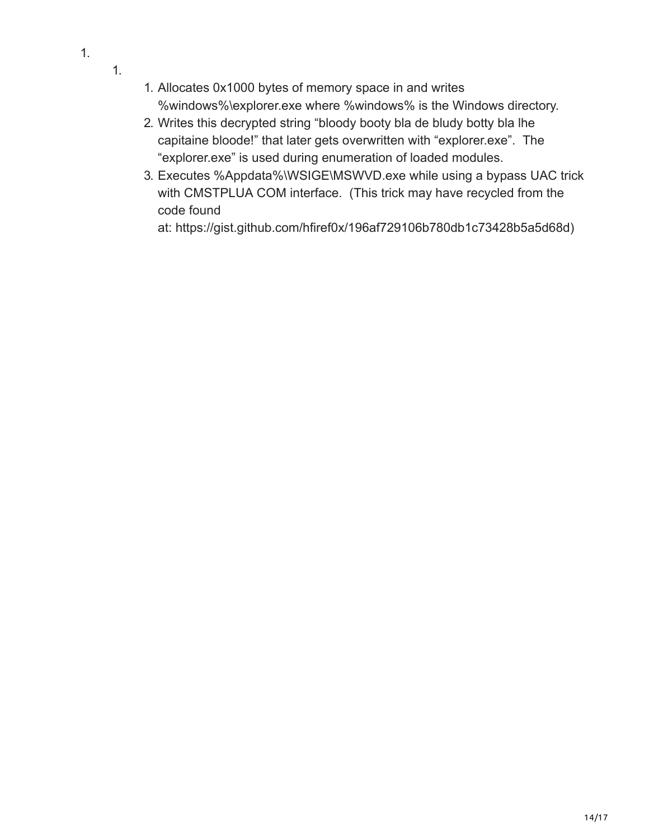- 1. Allocates 0x1000 bytes of memory space in and writes %windows%\explorer.exe where %windows% is the Windows directory.
- 2. Writes this decrypted string "bloody booty bla de bludy botty bla lhe capitaine bloode!" that later gets overwritten with "explorer.exe". The "explorer.exe" is used during enumeration of loaded modules.
- 3. Executes %Appdata%\WSIGE\MSWVD.exe while using a bypass UAC trick with CMSTPLUA COM interface. (This trick may have recycled from the code found

at: https://gist.github.com/hfiref0x/196af729106b780db1c73428b5a5d68d)

1.

1.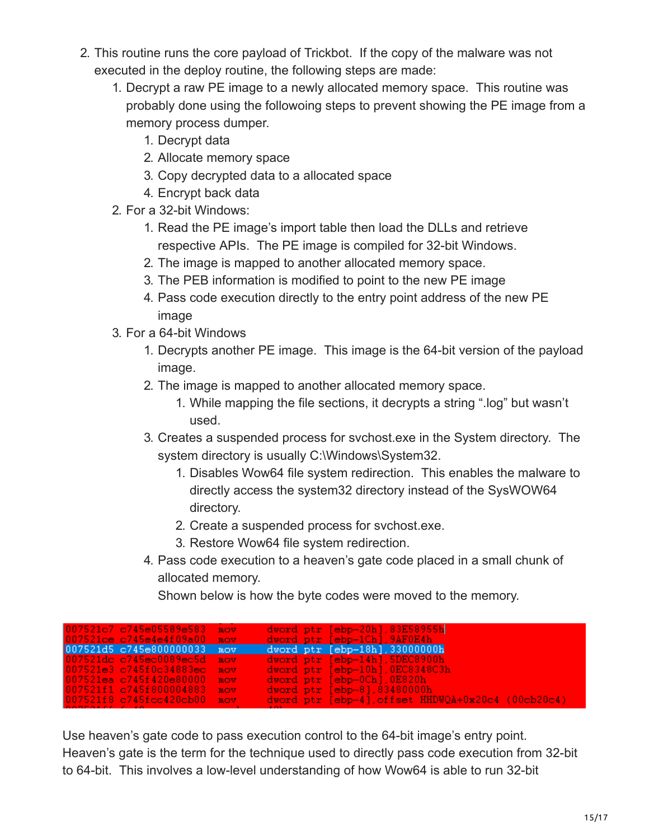- 2. This routine runs the core payload of Trickbot. If the copy of the malware was not executed in the deploy routine, the following steps are made:
	- 1. Decrypt a raw PE image to a newly allocated memory space. This routine was probably done using the followoing steps to prevent showing the PE image from a memory process dumper.
		- 1. Decrypt data
		- 2. Allocate memory space
		- 3. Copy decrypted data to a allocated space
		- 4. Encrypt back data
	- 2. For a 32-bit Windows:
		- 1. Read the PE image's import table then load the DLLs and retrieve respective APIs. The PE image is compiled for 32-bit Windows.
		- 2. The image is mapped to another allocated memory space.
		- 3. The PEB information is modified to point to the new PE image
		- 4. Pass code execution directly to the entry point address of the new PE image
	- 3. For a 64-bit Windows
		- 1. Decrypts another PE image. This image is the 64-bit version of the payload image.
		- 2. The image is mapped to another allocated memory space.
			- 1. While mapping the file sections, it decrypts a string ".log" but wasn't used.
		- 3. Creates a suspended process for svchost.exe in the System directory. The system directory is usually C:\Windows\System32.
			- 1. Disables Wow64 file system redirection. This enables the malware to directly access the system32 directory instead of the SysWOW64 directory.
			- 2. Create a suspended process for svchost.exe.
			- 3. Restore Wow64 file system redirection.
		- 4. Pass code execution to a heaven's gate code placed in a small chunk of allocated memory.

Shown below is how the byte codes were moved to the memory.

| 007521ce c745e4e4f09a00<br>dword ptr [ebp-1Ch], 9AF0E4h<br>mov                                       |
|------------------------------------------------------------------------------------------------------|
| 007521d5 c745e800000033 mov<br>$dword$ ptr $[ebp-18h]$ , 33000000 $h$                                |
| 007521dc c745ec0089ec5d<br>$dword ptr [ebp-14h]$ , SDEC8900h<br>mov <sub>b</sub>                     |
| 007521e3 c745f0c34883ec mov<br>$dword$ ptr $[ebp-10h]$ , $0EC8348C3h$ ,                              |
| 007521ea c745f420e80000 mov<br>dword ptr [ebp-0Ch],0E820h                                            |
| 007521f1 c745f800004883<br>$dword ptr [ebp-8], 83480000h$<br>nov.                                    |
| $d$ word ptr [ebp-4], offset HHDWQA+0x20c4 (00cb20c4)<br>007521f8 c745fcc420cb00<br>nov <sub>-</sub> |

Use heaven's gate code to pass execution control to the 64-bit image's entry point. Heaven's gate is the term for the technique used to directly pass code execution from 32-bit to 64-bit. This involves a low-level understanding of how Wow64 is able to run 32-bit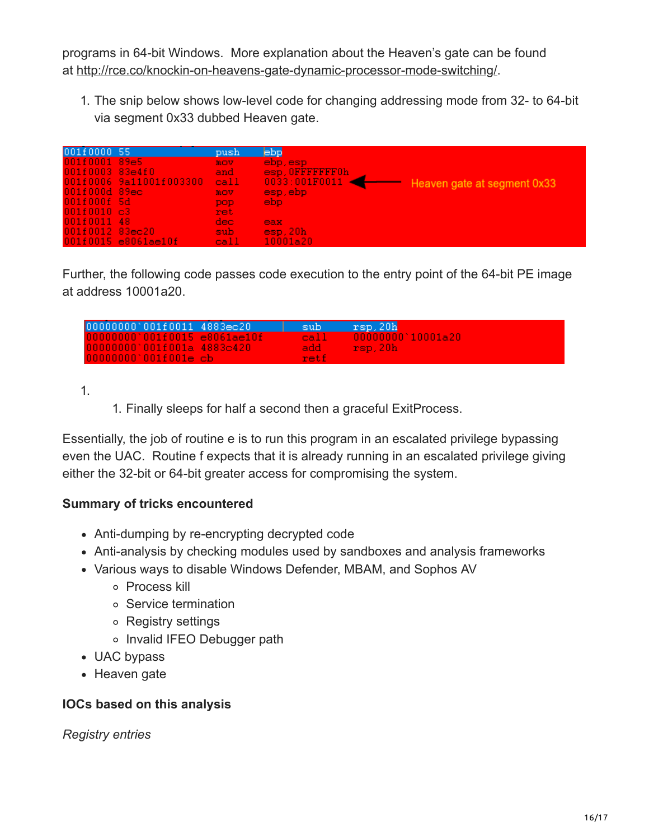programs in 64-bit Windows. More explanation about the Heaven's gate can be found at [http://rce.co/knockin-on-heavens-gate-dynamic-processor-mode-switching/.](http://rce.co/knockin-on-heavens-gate-dynamic-processor-mode-switching/)

1. The snip below shows low-level code for changing addressing mode from 32- to 64-bit via segment 0x33 dubbed Heaven gate.

| 001f0000 55       |                         | push | ebp             |                             |
|-------------------|-------------------------|------|-----------------|-----------------------------|
| 001f0001 89e5     |                         | nov. | ebp, esp        |                             |
| 001f0003 83e4f0   |                         | and  | esp. OFFFFFFF0h |                             |
|                   | 001f0006 9a11001f003300 | call | 0033:001F0011   | Heaven gate at segment 0x33 |
| $001f000d$ 89ec.  |                         | nov. | esp, ebp.       |                             |
| 001f000f 5d       |                         | DOD. | ebp.            |                             |
| 001f0010 c3       |                         | ret. |                 |                             |
| 001f0011 48       |                         | dec- | eax             |                             |
| $001f0012$ 83ec20 |                         | sub- | esp, 20h        |                             |
|                   | $001f0015$ e8061ae10f   | call | 10001a20        |                             |

Further, the following code passes code execution to the entry point of the 64-bit PE image at address 10001a20.

| 000000000'001f0011 4883ec20     | sub.  | rsp.20h                                |
|---------------------------------|-------|----------------------------------------|
| 0000000000010110015e8061ae10f   |       | $ cal1  = 00000000   10001a20 \rangle$ |
| $0000000000010114001a$ 4883c420 | add - | rsp.20h                                |
| $000000000001001e$ cb           | reti  |                                        |

1.

1. Finally sleeps for half a second then a graceful ExitProcess.

Essentially, the job of routine e is to run this program in an escalated privilege bypassing even the UAC. Routine f expects that it is already running in an escalated privilege giving either the 32-bit or 64-bit greater access for compromising the system.

### **Summary of tricks encountered**

- Anti-dumping by re-encrypting decrypted code
- Anti-analysis by checking modules used by sandboxes and analysis frameworks
- Various ways to disable Windows Defender, MBAM, and Sophos AV
	- Process kill
	- Service termination
	- Registry settings
	- o Invalid IFEO Debugger path
- UAC bypass
- Heaven gate

### **IOCs based on this analysis**

*Registry entries*